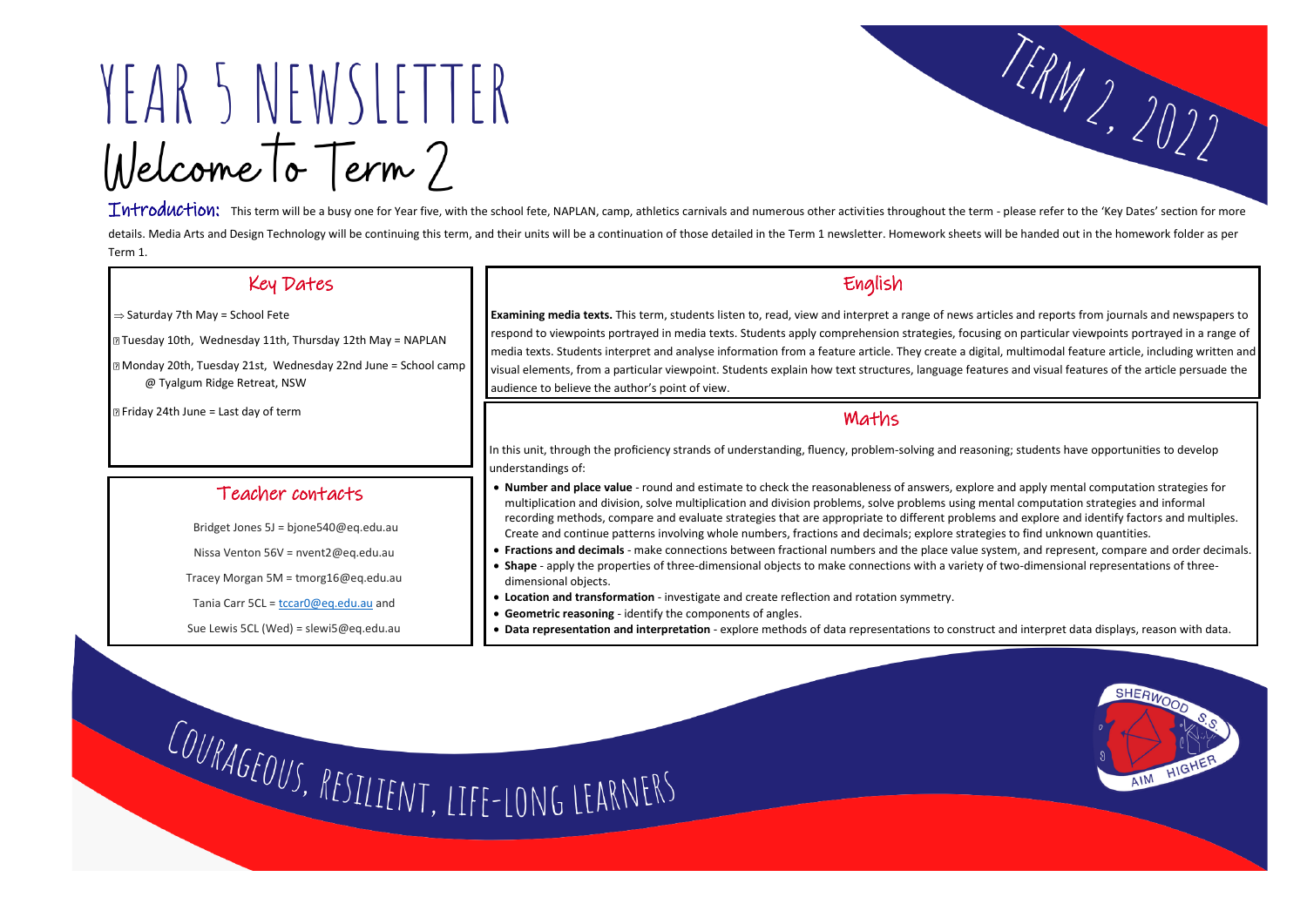# YEAR 5 NEWSLETTER Welcome To Term?

Introduction: This term will be a busy one for Year five, with the school fete, NAPLAN, camp, athletics carnivals and numerous other activities throughout the term - please refer to the 'Key Dates' section for more details. Media Arts and Design Technology will be continuing this term, and their units will be a continuation of those detailed in the Term 1 newsletter. Homework sheets will be handed out in the homework folder as per Term 1.

## Key Dates

I  $\Rightarrow$  Saturday 7th May = School Fete

Tuesday 10th, Wednesday 11th, Thursday 12th May = NAPLAN

Monday 20th, Tuesday 21st, Wednesday 22nd June = School camp @ Tyalgum Ridge Retreat, NSW

# English

**Examining media texts.** This term, students listen to, read, view and interpret a range of news articles and reports from journals and newspapers to respond to viewpoints portrayed in media texts. Students apply comprehension strategies, focusing on particular viewpoints portrayed in a range of media texts. Students interpret and analyse information from a feature article. They create a digital, multimodal feature article, including written and visual elements, from a particular viewpoint. Students explain how text structures, language features and visual features of the article persuade the audience to believe the author's point of view.

Teacher contacts

Bridget Jones 5J = bjone540@eq.edu.au

Nissa Venton 56V = nvent2@eq.edu.au

Tracey Morgan 5M = tmorg16@eq.edu.au

Tania Carr 5CL = [tccar0@eq.edu.au](mailto:tccar0@eq.edu.au) and

Sue Lewis 5CL (Wed) = slewi5@eq.edu.au

■ Friday 24th June = Last day of term

## Maths

#### In this unit, through the proficiency strands of understanding, fluency, problem-solving and reasoning; students have opportunities to develop understandings of:

• **Number and place value** - round and estimate to check the reasonableness of answers, explore and apply mental computation strategies for multiplication and division, solve multiplication and division problems, solve problems using mental computation strategies and informal recording methods, compare and evaluate strategies that are appropriate to different problems and explore and identify factors and multiples. Create and continue patterns involving whole numbers, fractions and decimals; explore strategies to find unknown quantities.

 $\overline{a}$ 

- **Fractions and decimals** make connections between fractional numbers and the place value system, and represent, compare and order decimals.
- **Shape** apply the properties of three-dimensional objects to make connections with a variety of two-dimensional representations of threedimensional objects.
- **Location and transformation** investigate and create reflection and rotation symmetry.
- **Geometric reasoning** identify the components of angles.
- **Data representation and interpretation** explore methods of data representations to construct and interpret data displays, reason with data.

COURAGEOUS, RESILIENT, LIFE-LONG LEARNERS